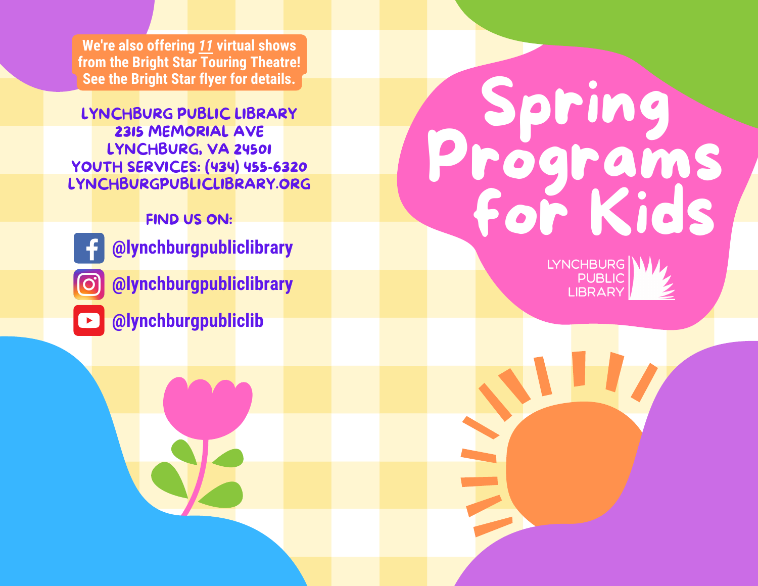**We're also offering** *11* **virtual shows from the Bright Star Touring Theatre! See the Bright Star flyer for details.**

LYNCHBURG PUBLIC LIBRARY 2315 MEMORIAL AVE LYNCHBURG, VA 24501 YOUTH SERVICES: (434) 455-6320 LYNCHBURGPUBLICLIBRARY.ORG

FIND US ON:

- **@lynchburgpubliclibrary**
- **@lynchburgpubliclibrary**
- **@lynchburgpubliclib**

# Spring Programs for Kids

LYNCHBURG **PUBLIC LIBRARY**